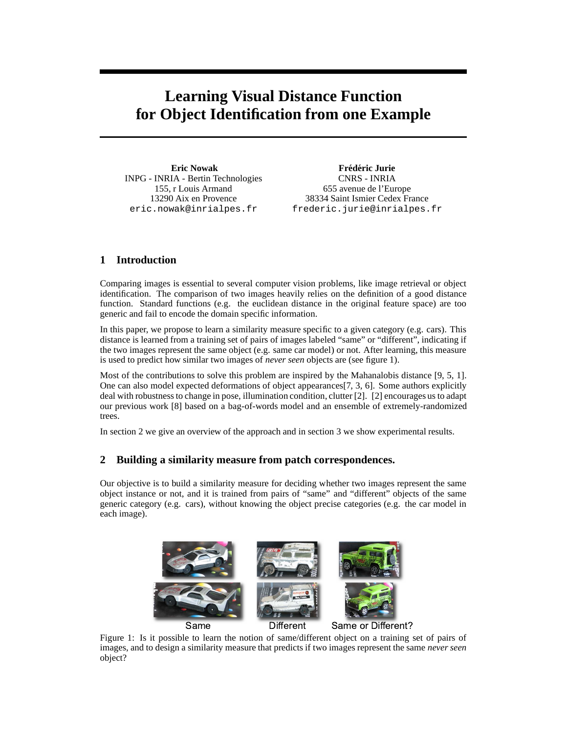# **Learning Visual Distance Function for Object Identification from one Example**

**Eric Nowak** INPG - INRIA - Bertin Technologies 155, r Louis Armand 13290 Aix en Provence eric.nowak@inrialpes.fr

**Frédéric Jurie** CNRS - INRIA 655 avenue de l'Europe 38334 Saint Ismier Cedex France frederic.jurie@inrialpes.fr

## **1 Introduction**

Comparing images is essential to several computer vision problems, like image retrieval or object identification. The comparison of two images heavily relies on the definition of a good distance function. Standard functions (e.g. the euclidean distance in the original feature space) are too generic and fail to encode the domain specific information.

In this paper, we propose to learn a similarity measure specific to a given category (e.g. cars). This distance is learned from a training set of pairs of images labeled "same" or "different", indicating if the two images represent the same object (e.g. same car model) or not. After learning, this measure is used to predict how similar two images of *never seen* objects are (see figure 1).

Most of the contributions to solve this problem are inspired by the Mahanalobis distance [9, 5, 1]. One can also model expected deformations of object appearances[7, 3, 6]. Some authors explicitly deal with robustness to change in pose, illumination condition, clutter [2]. [2] encourages us to adapt our previous work [8] based on a bag-of-words model and an ensemble of extremely-randomized trees.

In section 2 we give an overview of the approach and in section 3 we show experimental results.

### **2 Building a similarity measure from patch correspondences.**

Our objective is to build a similarity measure for deciding whether two images represent the same object instance or not, and it is trained from pairs of "same" and "different" objects of the same generic category (e.g. cars), without knowing the object precise categories (e.g. the car model in each image).



Figure 1: Is it possible to learn the notion of same/different object on a training set of pairs of images, and to design a similarity measure that predicts if two images represent the same *never seen* object?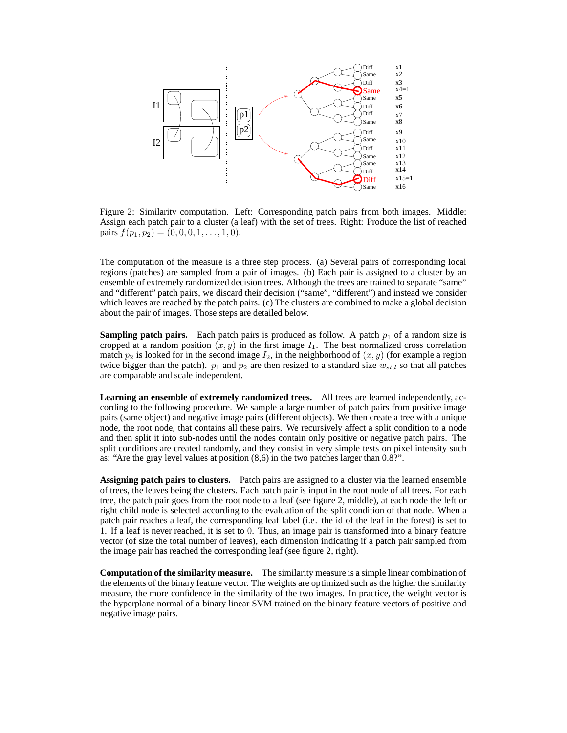

Figure 2: Similarity computation. Left: Corresponding patch pairs from both images. Middle: Assign each patch pair to a cluster (a leaf) with the set of trees. Right: Produce the list of reached pairs  $f(p_1, p_2) = (0, 0, 0, 1, \ldots, 1, 0).$ 

The computation of the measure is a three step process. (a) Several pairs of corresponding local regions (patches) are sampled from a pair of images. (b) Each pair is assigned to a cluster by an ensemble of extremely randomized decision trees. Although the trees are trained to separate "same" and "different" patch pairs, we discard their decision ("same", "different") and instead we consider which leaves are reached by the patch pairs. (c) The clusters are combined to make a global decision about the pair of images. Those steps are detailed below.

**Sampling patch pairs.** Each patch pairs is produced as follow. A patch  $p_1$  of a random size is cropped at a random position  $(x, y)$  in the first image  $I_1$ . The best normalized cross correlation match  $p_2$  is looked for in the second image  $I_2$ , in the neighborhood of  $(x, y)$  (for example a region twice bigger than the patch).  $p_1$  and  $p_2$  are then resized to a standard size  $w_{std}$  so that all patches are comparable and scale independent.

**Learning an ensemble of extremely randomized trees.** All trees are learned independently, according to the following procedure. We sample a large number of patch pairs from positive image pairs (same object) and negative image pairs (different objects). We then create a tree with a unique node, the root node, that contains all these pairs. We recursively affect a split condition to a node and then split it into sub-nodes until the nodes contain only positive or negative patch pairs. The split conditions are created randomly, and they consist in very simple tests on pixel intensity such as: "Are the gray level values at position  $(8,6)$  in the two patches larger than  $0.8$ ?".

**Assigning patch pairs to clusters.** Patch pairs are assigned to a cluster via the learned ensemble of trees, the leaves being the clusters. Each patch pair is input in the root node of all trees. For each tree, the patch pair goes from the root node to a leaf (see figure 2, middle), at each node the left or right child node is selected according to the evaluation of the split condition of that node. When a patch pair reaches a leaf, the corresponding leaf label (i.e. the id of the leaf in the forest) is set to 1. If a leaf is never reached, it is set to 0. Thus, an image pair is transformed into a binary feature vector (of size the total number of leaves), each dimension indicating if a patch pair sampled from the image pair has reached the corresponding leaf (see figure 2, right).

**Computation of the similarity measure.** The similarity measure is a simple linear combination of the elements of the binary feature vector. The weights are optimized such as the higher the similarity measure, the more confidence in the similarity of the two images. In practice, the weight vector is the hyperplane normal of a binary linear SVM trained on the binary feature vectors of positive and negative image pairs.